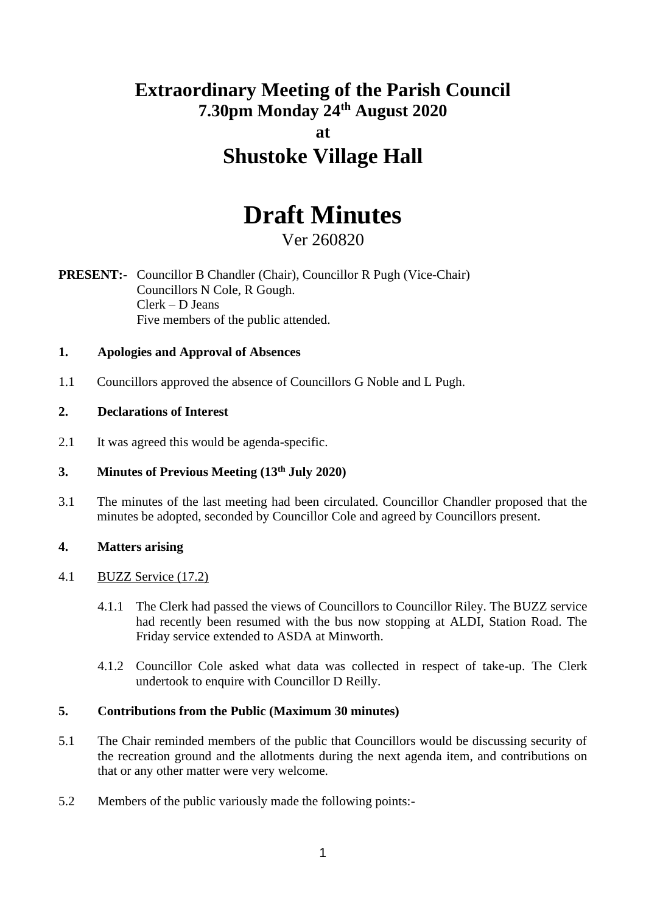## **Extraordinary Meeting of the Parish Council 7.30pm Monday 24th August 2020 at Shustoke Village Hall**

# **Draft Minutes**

## Ver 260820

**PRESENT:-** Councillor B Chandler (Chair), Councillor R Pugh (Vice-Chair) Councillors N Cole, R Gough. Clerk – D Jeans Five members of the public attended.

## **1. Apologies and Approval of Absences**

1.1 Councillors approved the absence of Councillors G Noble and L Pugh.

## **2. Declarations of Interest**

2.1 It was agreed this would be agenda-specific.

## **3. Minutes of Previous Meeting (13th July 2020)**

3.1 The minutes of the last meeting had been circulated. Councillor Chandler proposed that the minutes be adopted, seconded by Councillor Cole and agreed by Councillors present.

## **4. Matters arising**

## 4.1 BUZZ Service (17.2)

- 4.1.1 The Clerk had passed the views of Councillors to Councillor Riley. The BUZZ service had recently been resumed with the bus now stopping at ALDI, Station Road. The Friday service extended to ASDA at Minworth.
- 4.1.2 Councillor Cole asked what data was collected in respect of take-up. The Clerk undertook to enquire with Councillor D Reilly.

## **5. Contributions from the Public (Maximum 30 minutes)**

- 5.1 The Chair reminded members of the public that Councillors would be discussing security of the recreation ground and the allotments during the next agenda item, and contributions on that or any other matter were very welcome.
- 5.2 Members of the public variously made the following points:-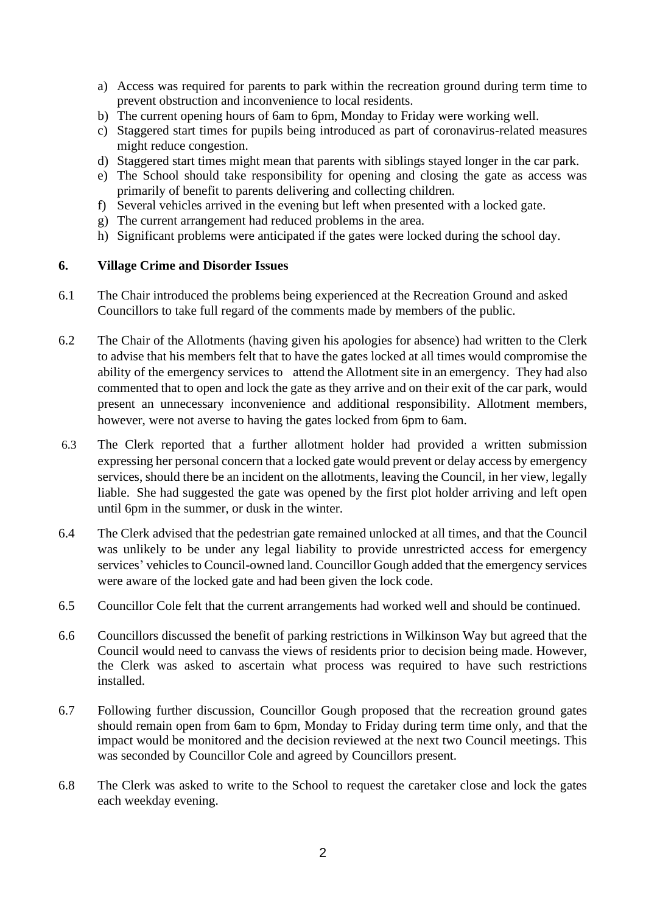- a) Access was required for parents to park within the recreation ground during term time to prevent obstruction and inconvenience to local residents.
- b) The current opening hours of 6am to 6pm, Monday to Friday were working well.
- c) Staggered start times for pupils being introduced as part of coronavirus-related measures might reduce congestion.
- d) Staggered start times might mean that parents with siblings stayed longer in the car park.
- e) The School should take responsibility for opening and closing the gate as access was primarily of benefit to parents delivering and collecting children.
- f) Several vehicles arrived in the evening but left when presented with a locked gate.
- g) The current arrangement had reduced problems in the area.
- h) Significant problems were anticipated if the gates were locked during the school day.

## **6. Village Crime and Disorder Issues**

- 6.1 The Chair introduced the problems being experienced at the Recreation Ground and asked Councillors to take full regard of the comments made by members of the public.
- 6.2 The Chair of the Allotments (having given his apologies for absence) had written to the Clerk to advise that his members felt that to have the gates locked at all times would compromise the ability of the emergency services to attend the Allotment site in an emergency. They had also commented that to open and lock the gate as they arrive and on their exit of the car park, would present an unnecessary inconvenience and additional responsibility. Allotment members, however, were not averse to having the gates locked from 6pm to 6am.
- 6.3 The Clerk reported that a further allotment holder had provided a written submission expressing her personal concern that a locked gate would prevent or delay access by emergency services, should there be an incident on the allotments, leaving the Council, in her view, legally liable. She had suggested the gate was opened by the first plot holder arriving and left open until 6pm in the summer, or dusk in the winter.
- 6.4 The Clerk advised that the pedestrian gate remained unlocked at all times, and that the Council was unlikely to be under any legal liability to provide unrestricted access for emergency services' vehicles to Council-owned land. Councillor Gough added that the emergency services were aware of the locked gate and had been given the lock code.
- 6.5 Councillor Cole felt that the current arrangements had worked well and should be continued.
- 6.6 Councillors discussed the benefit of parking restrictions in Wilkinson Way but agreed that the Council would need to canvass the views of residents prior to decision being made. However, the Clerk was asked to ascertain what process was required to have such restrictions installed.
- 6.7 Following further discussion, Councillor Gough proposed that the recreation ground gates should remain open from 6am to 6pm, Monday to Friday during term time only, and that the impact would be monitored and the decision reviewed at the next two Council meetings. This was seconded by Councillor Cole and agreed by Councillors present.
- 6.8 The Clerk was asked to write to the School to request the caretaker close and lock the gates each weekday evening.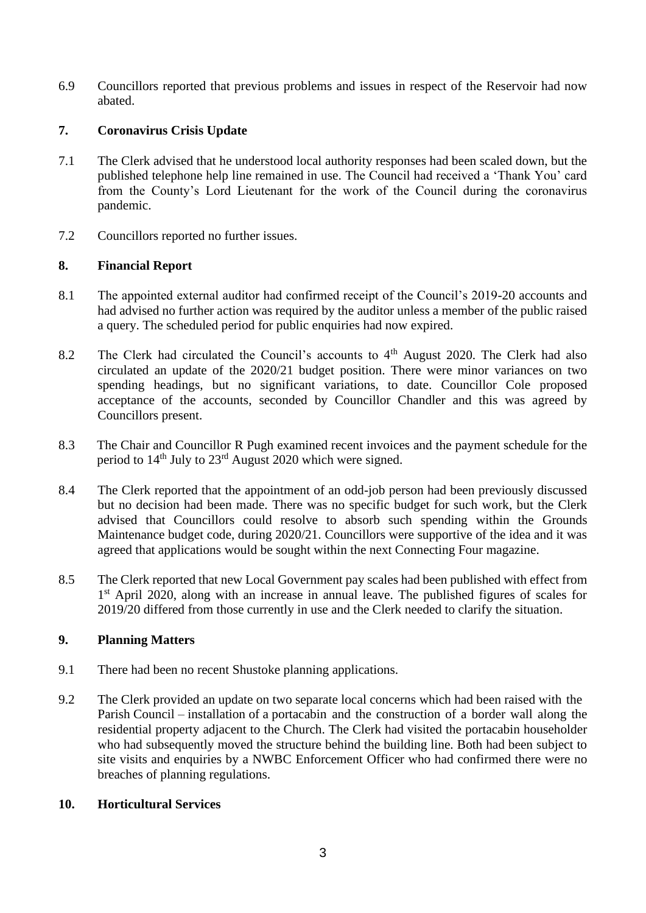6.9 Councillors reported that previous problems and issues in respect of the Reservoir had now abated.

## **7. Coronavirus Crisis Update**

- 7.1 The Clerk advised that he understood local authority responses had been scaled down, but the published telephone help line remained in use. The Council had received a 'Thank You' card from the County's Lord Lieutenant for the work of the Council during the coronavirus pandemic.
- 7.2 Councillors reported no further issues.

## **8. Financial Report**

- 8.1 The appointed external auditor had confirmed receipt of the Council's 2019-20 accounts and had advised no further action was required by the auditor unless a member of the public raised a query. The scheduled period for public enquiries had now expired.
- 8.2 The Clerk had circulated the Council's accounts to  $4<sup>th</sup>$  August 2020. The Clerk had also circulated an update of the 2020/21 budget position. There were minor variances on two spending headings, but no significant variations, to date. Councillor Cole proposed acceptance of the accounts, seconded by Councillor Chandler and this was agreed by Councillors present.
- 8.3 The Chair and Councillor R Pugh examined recent invoices and the payment schedule for the period to 14th July to 23rd August 2020 which were signed.
- 8.4 The Clerk reported that the appointment of an odd-job person had been previously discussed but no decision had been made. There was no specific budget for such work, but the Clerk advised that Councillors could resolve to absorb such spending within the Grounds Maintenance budget code, during 2020/21. Councillors were supportive of the idea and it was agreed that applications would be sought within the next Connecting Four magazine.
- 8.5 The Clerk reported that new Local Government pay scales had been published with effect from 1<sup>st</sup> April 2020, along with an increase in annual leave. The published figures of scales for 2019/20 differed from those currently in use and the Clerk needed to clarify the situation.

## **9. Planning Matters**

- 9.1 There had been no recent Shustoke planning applications.
- 9.2 The Clerk provided an update on two separate local concerns which had been raised with the Parish Council – installation of a portacabin and the construction of a border wall along the residential property adjacent to the Church. The Clerk had visited the portacabin householder who had subsequently moved the structure behind the building line. Both had been subject to site visits and enquiries by a NWBC Enforcement Officer who had confirmed there were no breaches of planning regulations.

## **10. Horticultural Services**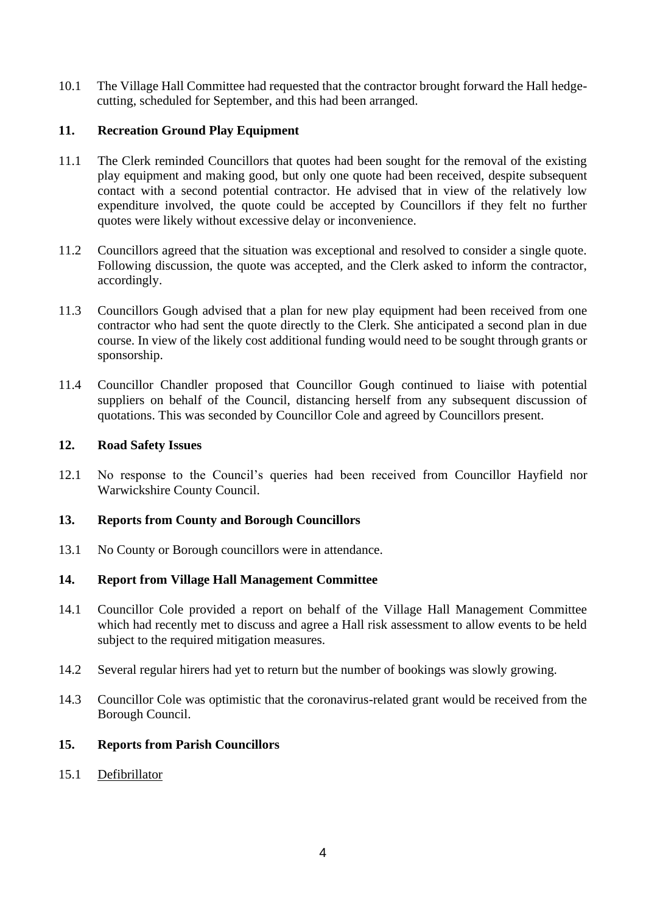10.1 The Village Hall Committee had requested that the contractor brought forward the Hall hedgecutting, scheduled for September, and this had been arranged.

## **11. Recreation Ground Play Equipment**

- 11.1 The Clerk reminded Councillors that quotes had been sought for the removal of the existing play equipment and making good, but only one quote had been received, despite subsequent contact with a second potential contractor. He advised that in view of the relatively low expenditure involved, the quote could be accepted by Councillors if they felt no further quotes were likely without excessive delay or inconvenience.
- 11.2 Councillors agreed that the situation was exceptional and resolved to consider a single quote. Following discussion, the quote was accepted, and the Clerk asked to inform the contractor, accordingly.
- 11.3 Councillors Gough advised that a plan for new play equipment had been received from one contractor who had sent the quote directly to the Clerk. She anticipated a second plan in due course. In view of the likely cost additional funding would need to be sought through grants or sponsorship.
- 11.4 Councillor Chandler proposed that Councillor Gough continued to liaise with potential suppliers on behalf of the Council, distancing herself from any subsequent discussion of quotations. This was seconded by Councillor Cole and agreed by Councillors present.

## **12. Road Safety Issues**

12.1 No response to the Council's queries had been received from Councillor Hayfield nor Warwickshire County Council.

## **13. Reports from County and Borough Councillors**

13.1 No County or Borough councillors were in attendance.

## **14. Report from Village Hall Management Committee**

- 14.1 Councillor Cole provided a report on behalf of the Village Hall Management Committee which had recently met to discuss and agree a Hall risk assessment to allow events to be held subject to the required mitigation measures.
- 14.2 Several regular hirers had yet to return but the number of bookings was slowly growing.
- 14.3 Councillor Cole was optimistic that the coronavirus-related grant would be received from the Borough Council.

## **15. Reports from Parish Councillors**

15.1 Defibrillator